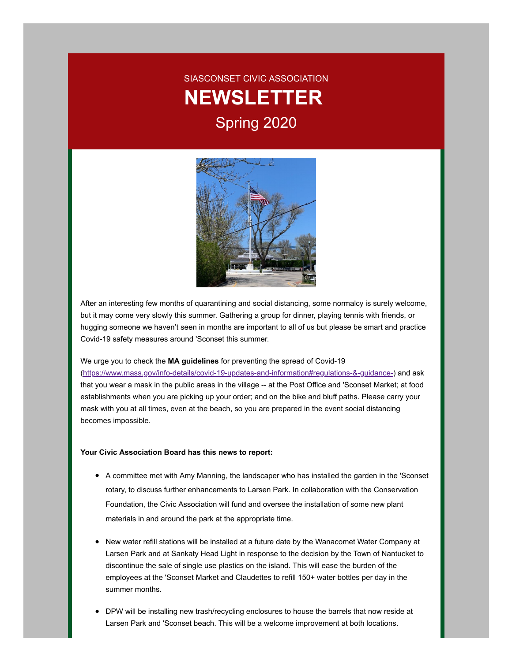# SIASCONSET CIVIC ASSOCIATION **NEWSLETTER** Spring 2020



After an interesting few months of quarantining and social distancing, some normalcy is surely welcome, but it may come very slowly this summer. Gathering a group for dinner, playing tennis with friends, or hugging someone we haven't seen in months are important to all of us but please be smart and practice Covid-19 safety measures around 'Sconset this summer.

We urge you to check the **MA guidelines** for preventing the spread of Covid-19 [\(https://www.mass.gov/info-details/covid-19-updates-and-information#regulations-&-guidance-](https://www.mass.gov/info-details/covid-19-updates-and-information#regulations-&-guidance-)) and ask that you wear a mask in the public areas in the village -- at the Post Office and 'Sconset Market; at food establishments when you are picking up your order; and on the bike and bluff paths. Please carry your mask with you at all times, even at the beach, so you are prepared in the event social distancing becomes impossible.

#### **Your Civic Association Board has this news to report:**

- A committee met with Amy Manning, the landscaper who has installed the garden in the 'Sconset rotary, to discuss further enhancements to Larsen Park. In collaboration with the Conservation Foundation, the Civic Association will fund and oversee the installation of some new plant materials in and around the park at the appropriate time.
- New water refill stations will be installed at a future date by the Wanacomet Water Company at Larsen Park and at Sankaty Head Light in response to the decision by the Town of Nantucket to discontinue the sale of single use plastics on the island. This will ease the burden of the employees at the 'Sconset Market and Claudettes to refill 150+ water bottles per day in the summer months.
- DPW will be installing new trash/recycling enclosures to house the barrels that now reside at Larsen Park and 'Sconset beach. This will be a welcome improvement at both locations.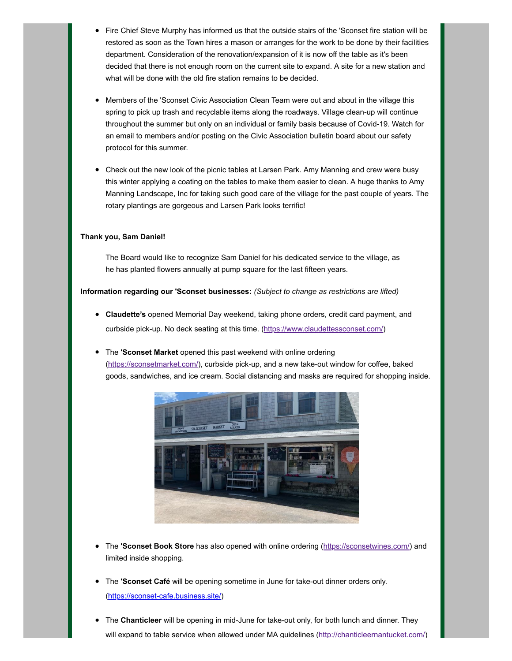- Fire Chief Steve Murphy has informed us that the outside stairs of the 'Sconset fire station will be restored as soon as the Town hires a mason or arranges for the work to be done by their facilities department. Consideration of the renovation/expansion of it is now off the table as it's been decided that there is not enough room on the current site to expand. A site for a new station and what will be done with the old fire station remains to be decided.
- Members of the 'Sconset Civic Association Clean Team were out and about in the village this spring to pick up trash and recyclable items along the roadways. Village clean-up will continue throughout the summer but only on an individual or family basis because of Covid-19. Watch for an email to members and/or posting on the Civic Association bulletin board about our safety protocol for this summer.
- Check out the new look of the picnic tables at Larsen Park. Amy Manning and crew were busy this winter applying a coating on the tables to make them easier to clean. A huge thanks to Amy Manning Landscape, Inc for taking such good care of the village for the past couple of years. The rotary plantings are gorgeous and Larsen Park looks terrific!

#### **Thank you, Sam Daniel!**

The Board would like to recognize Sam Daniel for his dedicated service to the village, as he has planted flowers annually at pump square for the last fifteen years.

**Information regarding our 'Sconset businesses:** *(Subject to change as restrictions are lifted)*

- **Claudette's** opened Memorial Day weekend, taking phone orders, credit card payment, and curbside pick-up. No deck seating at this time. (<https://www.claudettessconset.com/>)
- The **'Sconset Market** opened this past weekend with online ordering [\(https://sconsetmarket.com/\)](https://sconsetmarket.com/), curbside pick-up, and a new take-out window for coffee, baked goods, sandwiches, and ice cream. Social distancing and masks are required for shopping inside.



- The **'Sconset Book Store** has also opened with online ordering ([https://sconsetwines.com/\)](https://sconsetwines.com/) and limited inside shopping.
- **•** The **'Sconset Café** will be opening sometime in June for take-out dinner orders only. [\(https://sconset-cafe.business.site/](https://sconset-cafe.business.site/))
- The **Chanticleer** will be opening in mid-June for take-out only, for both lunch and dinner. They will expand to table service when allowed under MA guidelines [\(http://chanticleernantucket.com/](http://chanticleernantucket.com/))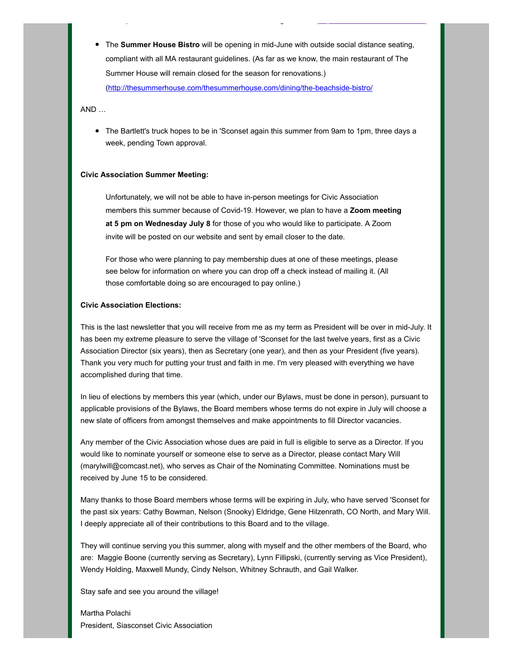The **Summer House Bistro** will be opening in mid-June with outside social distance seating, compliant with all MA restaurant guidelines. (As far as we know, the main restaurant of The Summer House will remain closed for the season for renovations.)

[p](http://chanticleernantucket.com/) g ( p ) and ( p ) and ( p ) and ( p ) and ( p ) and ( p ) and ( p ) and ( p ) and ( p ) and ( p ) and ( p )

[\(http://thesummerhouse.com/thesummerhouse.com/dining/the-beachside-bistro/](http://thesummerhouse.com/thesummerhouse.com/dining/the-beachside-bistro)

AND …

• The Bartlett's truck hopes to be in 'Sconset again this summer from 9am to 1pm, three days a week, pending Town approval.

#### **Civic Association Summer Meeting:**

Unfortunately, we will not be able to have in-person meetings for Civic Association members this summer because of Covid-19. However, we plan to have a **Zoom meeting at 5 pm on Wednesday July 8** for those of you who would like to participate. A Zoom invite will be posted on our website and sent by email closer to the date.

For those who were planning to pay membership dues at one of these meetings, please see below for information on where you can drop off a check instead of mailing it. (All those comfortable doing so are encouraged to pay online.)

#### **Civic Association Elections:**

This is the last newsletter that you will receive from me as my term as President will be over in mid-July. It has been my extreme pleasure to serve the village of 'Sconset for the last twelve years, first as a Civic Association Director (six years), then as Secretary (one year), and then as your President (five years). Thank you very much for putting your trust and faith in me. I'm very pleased with everything we have accomplished during that time.

In lieu of elections by members this year (which, under our Bylaws, must be done in person), pursuant to applicable provisions of the Bylaws, the Board members whose terms do not expire in July will choose a new slate of officers from amongst themselves and make appointments to fill Director vacancies.

Any member of the Civic Association whose dues are paid in full is eligible to serve as a Director. If you would like to nominate yourself or someone else to serve as a Director, please contact Mary Will (marylwill@comcast.net), who serves as Chair of the Nominating Committee. Nominations must be received by June 15 to be considered.

Many thanks to those Board members whose terms will be expiring in July, who have served 'Sconset for the past six years: Cathy Bowman, Nelson (Snooky) Eldridge, Gene Hilzenrath, CO North, and Mary Will. I deeply appreciate all of their contributions to this Board and to the village.

They will continue serving you this summer, along with myself and the other members of the Board, who are: Maggie Boone (currently serving as Secretary), Lynn Fillipski, (currently serving as Vice President), Wendy Holding, Maxwell Mundy, Cindy Nelson, Whitney Schrauth, and Gail Walker.

Stay safe and see you around the village!

Martha Polachi President, Siasconset Civic Association